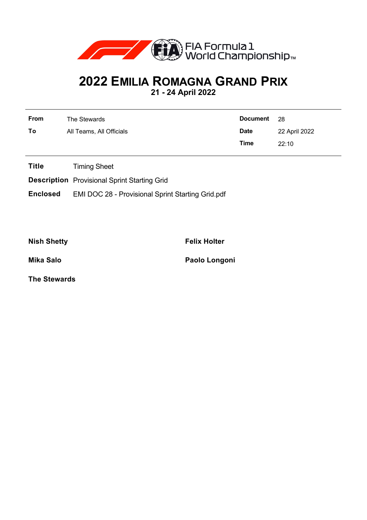

## **2022 EMILIA ROMAGNA GRAND PRIX**

**21 - 24 April 2022**

| <b>From</b> | The Stewards             | Document 28 |               |
|-------------|--------------------------|-------------|---------------|
| To          | All Teams, All Officials | <b>Date</b> | 22 April 2022 |
|             |                          | Time        | 22:10         |

**Title** Timing Sheet

**Description** Provisional Sprint Starting Grid

**Enclosed** EMI DOC 28 - Provisional Sprint Starting Grid.pdf

**Nish Shetty Felix Holter** 

**Mika Salo Paolo Longoni**

**The Stewards**